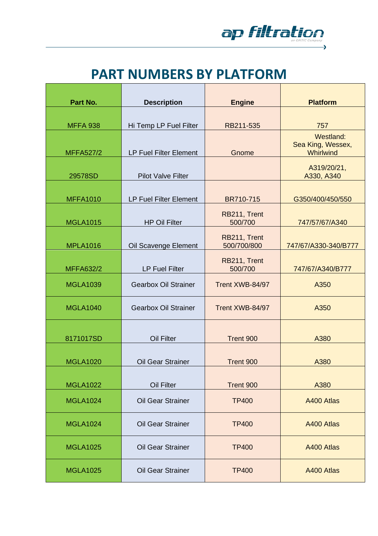

## **PART NUMBERS BY PLATFORM**

| Part No.         | <b>Description</b>            | <b>Engine</b>               | <b>Platform</b>                             |
|------------------|-------------------------------|-----------------------------|---------------------------------------------|
|                  |                               |                             |                                             |
| <b>MFFA 938</b>  | Hi Temp LP Fuel Filter        | RB211-535                   | 757                                         |
| <b>MFFA527/2</b> | <b>LP Fuel Filter Element</b> | Gnome                       | Westland:<br>Sea King, Wessex,<br>Whirlwind |
| 29578SD          | <b>Pilot Valve Filter</b>     |                             | A319/20/21,<br>A330, A340                   |
| <b>MFFA1010</b>  | <b>LP Fuel Filter Element</b> | BR710-715                   | G350/400/450/550                            |
| <b>MGLA1015</b>  | <b>HP Oil Filter</b>          | RB211, Trent<br>500/700     | 747/57/67/A340                              |
| <b>MPLA1016</b>  | Oil Scavenge Element          | RB211, Trent<br>500/700/800 | 747/67/A330-340/B777                        |
| <b>MFFA632/2</b> | <b>LP Fuel Filter</b>         | RB211, Trent<br>500/700     | 747/67/A340/B777                            |
| <b>MGLA1039</b>  | <b>Gearbox Oil Strainer</b>   | Trent XWB-84/97             | A350                                        |
| <b>MGLA1040</b>  | <b>Gearbox Oil Strainer</b>   | Trent XWB-84/97             | A350                                        |
| 8171017SD        | <b>Oil Filter</b>             | Trent 900                   | A380                                        |
| <b>MGLA1020</b>  | <b>Oil Gear Strainer</b>      | Trent 900                   | A380                                        |
| <b>MGLA1022</b>  | <b>Oil Filter</b>             | Trent 900                   | A380                                        |
| <b>MGLA1024</b>  | <b>Oil Gear Strainer</b>      | <b>TP400</b>                | A400 Atlas                                  |
| <b>MGLA1024</b>  | <b>Oil Gear Strainer</b>      | <b>TP400</b>                | A400 Atlas                                  |
| <b>MGLA1025</b>  | <b>Oil Gear Strainer</b>      | <b>TP400</b>                | A400 Atlas                                  |
| <b>MGLA1025</b>  | <b>Oil Gear Strainer</b>      | <b>TP400</b>                | A400 Atlas                                  |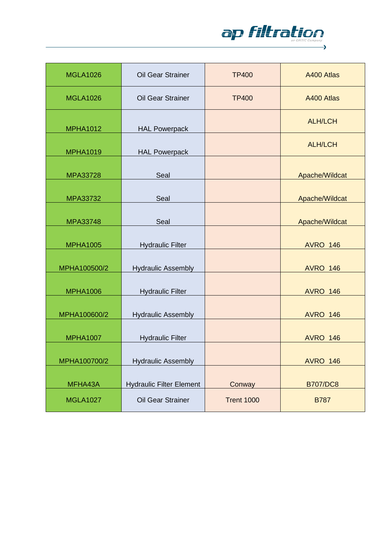

| <b>MGLA1026</b> | <b>Oil Gear Strainer</b>        | <b>TP400</b>      | A400 Atlas      |
|-----------------|---------------------------------|-------------------|-----------------|
| <b>MGLA1026</b> | <b>Oil Gear Strainer</b>        | <b>TP400</b>      | A400 Atlas      |
| <b>MPHA1012</b> | <b>HAL Powerpack</b>            |                   | <b>ALH/LCH</b>  |
| <b>MPHA1019</b> | <b>HAL Powerpack</b>            |                   | <b>ALH/LCH</b>  |
| MPA33728        | Seal                            |                   | Apache/Wildcat  |
| MPA33732        | Seal                            |                   | Apache/Wildcat  |
| MPA33748        | Seal                            |                   | Apache/Wildcat  |
| <b>MPHA1005</b> | <b>Hydraulic Filter</b>         |                   | <b>AVRO 146</b> |
| MPHA100500/2    | <b>Hydraulic Assembly</b>       |                   | <b>AVRO 146</b> |
| <b>MPHA1006</b> | <b>Hydraulic Filter</b>         |                   | <b>AVRO 146</b> |
| MPHA100600/2    | <b>Hydraulic Assembly</b>       |                   | <b>AVRO 146</b> |
| <b>MPHA1007</b> | <b>Hydraulic Filter</b>         |                   | <b>AVRO 146</b> |
| MPHA100700/2    | <b>Hydraulic Assembly</b>       |                   | <b>AVRO 146</b> |
| MFHA43A         | <b>Hydraulic Filter Element</b> | Conway            | <b>B707/DC8</b> |
| <b>MGLA1027</b> | Oil Gear Strainer               | <b>Trent 1000</b> | <b>B787</b>     |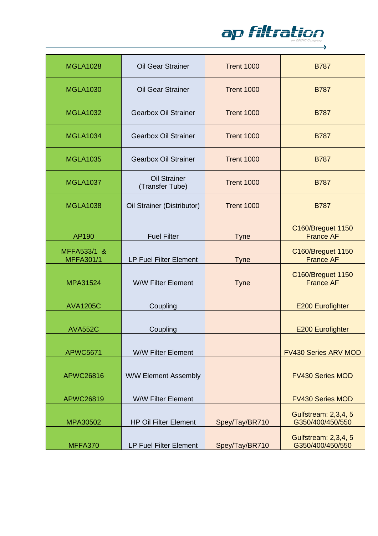

| <b>MGLA1028</b>                 | <b>Oil Gear Strainer</b>               | <b>Trent 1000</b> | <b>B787</b>                              |
|---------------------------------|----------------------------------------|-------------------|------------------------------------------|
| <b>MGLA1030</b>                 | <b>Oil Gear Strainer</b>               | <b>Trent 1000</b> | <b>B787</b>                              |
| <b>MGLA1032</b>                 | <b>Gearbox Oil Strainer</b>            | <b>Trent 1000</b> | <b>B787</b>                              |
| <b>MGLA1034</b>                 | <b>Gearbox Oil Strainer</b>            | <b>Trent 1000</b> | <b>B787</b>                              |
| <b>MGLA1035</b>                 | <b>Gearbox Oil Strainer</b>            | <b>Trent 1000</b> | <b>B787</b>                              |
| <b>MGLA1037</b>                 | <b>Oil Strainer</b><br>(Transfer Tube) | <b>Trent 1000</b> | <b>B787</b>                              |
| <b>MGLA1038</b>                 | Oil Strainer (Distributor)             | <b>Trent 1000</b> | <b>B787</b>                              |
| AP190                           | <b>Fuel Filter</b>                     | <b>Tyne</b>       | C160/Breguet 1150<br><b>France AF</b>    |
| MFFA533/1 &<br><b>MFFA301/1</b> | <b>LP Fuel Filter Element</b>          | <b>Tyne</b>       | C160/Breguet 1150<br><b>France AF</b>    |
| MPA31524                        | <b>W/W Filter Element</b>              | <b>Tyne</b>       | C160/Breguet 1150<br><b>France AF</b>    |
| <b>AVA1205C</b>                 | Coupling                               |                   | E200 Eurofighter                         |
| <b>AVA552C</b>                  | Coupling                               |                   | <b>E200 Eurofighter</b>                  |
| <b>APWC5671</b>                 | <b>W/W Filter Element</b>              |                   | <b>FV430 Series ARV MOD</b>              |
| <b>APWC26816</b>                | <b>W/W Element Assembly</b>            |                   | <b>FV430 Series MOD</b>                  |
| APWC26819                       | <b>W/W Filter Element</b>              |                   | <b>FV430 Series MOD</b>                  |
| MPA30502                        | <b>HP Oil Filter Element</b>           | Spey/Tay/BR710    | Gulfstream: 2,3,4, 5<br>G350/400/450/550 |
| MFFA370                         | <b>LP Fuel Filter Element</b>          | Spey/Tay/BR710    | Gulfstream: 2,3,4, 5<br>G350/400/450/550 |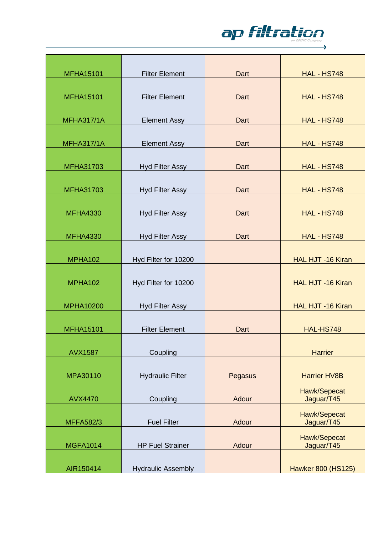

|                   | <b>Filter Element</b>     | Dart    |                            |
|-------------------|---------------------------|---------|----------------------------|
| <b>MFHA15101</b>  |                           |         | <b>HAL - HS748</b>         |
| <b>MFHA15101</b>  | <b>Filter Element</b>     | Dart    | <b>HAL - HS748</b>         |
|                   |                           |         |                            |
| <b>MFHA317/1A</b> | <b>Element Assy</b>       | Dart    | <b>HAL - HS748</b>         |
| <b>MFHA317/1A</b> | <b>Element Assy</b>       | Dart    | <b>HAL - HS748</b>         |
|                   |                           |         |                            |
| <b>MFHA31703</b>  | <b>Hyd Filter Assy</b>    | Dart    | <b>HAL - HS748</b>         |
|                   |                           |         |                            |
| <b>MFHA31703</b>  | <b>Hyd Filter Assy</b>    | Dart    | <b>HAL - HS748</b>         |
| <b>MFHA4330</b>   | <b>Hyd Filter Assy</b>    | Dart    | <b>HAL - HS748</b>         |
|                   |                           |         |                            |
| <b>MFHA4330</b>   | <b>Hyd Filter Assy</b>    | Dart    | <b>HAL - HS748</b>         |
|                   |                           |         |                            |
| MPHA102           | Hyd Filter for 10200      |         | <b>HAL HJT -16 Kiran</b>   |
| MPHA102           | Hyd Filter for 10200      |         | <b>HAL HJT -16 Kiran</b>   |
|                   |                           |         |                            |
| <b>MPHA10200</b>  | <b>Hyd Filter Assy</b>    |         | HAL HJT -16 Kiran          |
| <b>MFHA15101</b>  | <b>Filter Element</b>     | Dart    | <b>HAL-HS748</b>           |
|                   |                           |         |                            |
| <b>AVX1587</b>    | Coupling                  |         | <b>Harrier</b>             |
|                   |                           |         |                            |
| MPA30110          | <b>Hydraulic Filter</b>   | Pegasus | <b>Harrier HV8B</b>        |
| <b>AVX4470</b>    | Coupling                  | Adour   | Hawk/Sepecat<br>Jaguar/T45 |
|                   |                           |         | Hawk/Sepecat               |
| <b>MFFA582/3</b>  | <b>Fuel Filter</b>        | Adour   | Jaguar/T45                 |
|                   |                           |         | Hawk/Sepecat               |
| <b>MGFA1014</b>   | <b>HP Fuel Strainer</b>   | Adour   | Jaguar/T45                 |
|                   |                           |         |                            |
| AIR150414         | <b>Hydraulic Assembly</b> |         | <b>Hawker 800 (HS125)</b>  |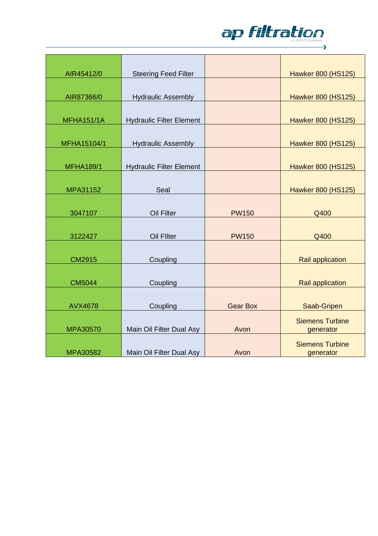

| AIR45412/0        | <b>Steering Feed Filter</b>     |                 | <b>Hawker 800 (HS125)</b>           |
|-------------------|---------------------------------|-----------------|-------------------------------------|
| AIR87366/0        | <b>Hydraulic Assembly</b>       |                 | <b>Hawker 800 (HS125)</b>           |
| <b>MFHA151/1A</b> | <b>Hydraulic Filter Element</b> |                 | <b>Hawker 800 (HS125)</b>           |
| MFHA15104/1       | <b>Hydraulic Assembly</b>       |                 | <b>Hawker 800 (HS125)</b>           |
| <b>MFHA189/1</b>  | <b>Hydraulic Filter Element</b> |                 | <b>Hawker 800 (HS125)</b>           |
| MPA31152          | Seal                            |                 | <b>Hawker 800 (HS125)</b>           |
| 3047107           | Oil Filter                      | <b>PW150</b>    | Q400                                |
| 3122427           | Oil Filter                      | <b>PW150</b>    | Q400                                |
| <b>CM2915</b>     | Coupling                        |                 | <b>Rail application</b>             |
| <b>CM5044</b>     | Coupling                        |                 | <b>Rail application</b>             |
| <b>AVX4678</b>    | Coupling                        | <b>Gear Box</b> | Saab-Gripen                         |
| MPA30570          | Main Oil Filter Dual Asy        | Avon            | <b>Siemens Turbine</b><br>generator |
| <b>MPA30582</b>   | Main Oil Filter Dual Asy        | Avon            | <b>Siemens Turbine</b><br>generator |